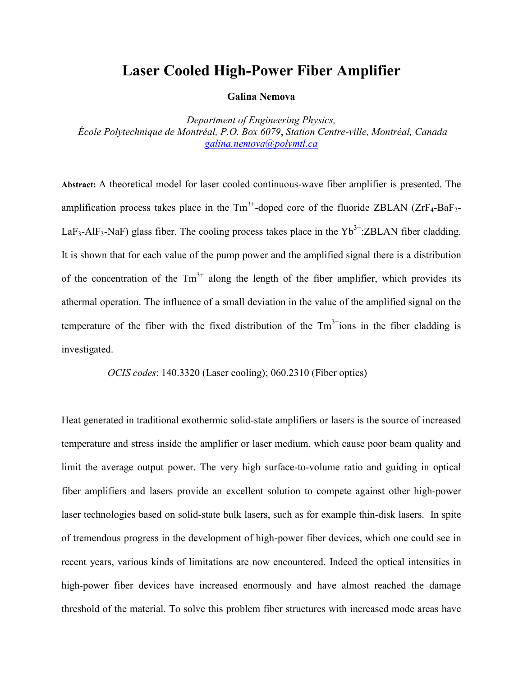## **Laser Cooled High-Power Fiber Amplifier**

## **Galina Nemova**

*Department of Engineering Physics, École Polytechnique de Montréal, P.O. Box 6079*, *Station Centre-ville, Montréal, Canada [galina.nemova@polymtl.ca](mailto:galina.nemova@polymtl.ca)*

**Abstract:** A theoretical model for laser cooled continuous-wave fiber amplifier is presented. The amplification process takes place in the  $Tm^{3+}$ -doped core of the fluoride ZBLAN (ZrF<sub>4</sub>-BaF<sub>2</sub>-LaF<sub>3</sub>-AlF<sub>3</sub>-NaF) glass fiber. The cooling process takes place in the Yb<sup>3+</sup>:ZBLAN fiber cladding. It is shown that for each value of the pump power and the amplified signal there is a distribution of the concentration of the  $Tm^{3+}$  along the length of the fiber amplifier, which provides its athermal operation. The influence of a small deviation in the value of the amplified signal on the temperature of the fiber with the fixed distribution of the  $Tm<sup>3+</sup>$ ions in the fiber cladding is investigated.

*OCIS codes*: 140.3320 (Laser cooling); 060.2310 (Fiber optics)

Heat generated in traditional exothermic solid-state amplifiers or lasers is the source of increased temperature and stress inside the amplifier or laser medium, which cause poor beam quality and limit the average output power. The very high surface-to-volume ratio and guiding in optical fiber amplifiers and lasers provide an excellent solution to compete against other [high-power](http://www.rp-photonics.com/high_power_lasers.html)  [laser](http://www.rp-photonics.com/high_power_lasers.html) technologies based on [solid-state](http://www.rp-photonics.com/solid_state_lasers.html) [bulk lasers,](http://www.rp-photonics.com/bulk_lasers.html) such as for example [thin-disk lasers.](http://www.rp-photonics.com/thin_disk_lasers.html) In spite of tremendous progress in the development of high-power fiber devices, which one could see in recent years, various kinds of limitations are now encountered. Indeed the optical intensities in high-power fiber devices have increased enormously and have almost reached the damage threshold of the material. To solve this problem fiber structures with increased mode areas have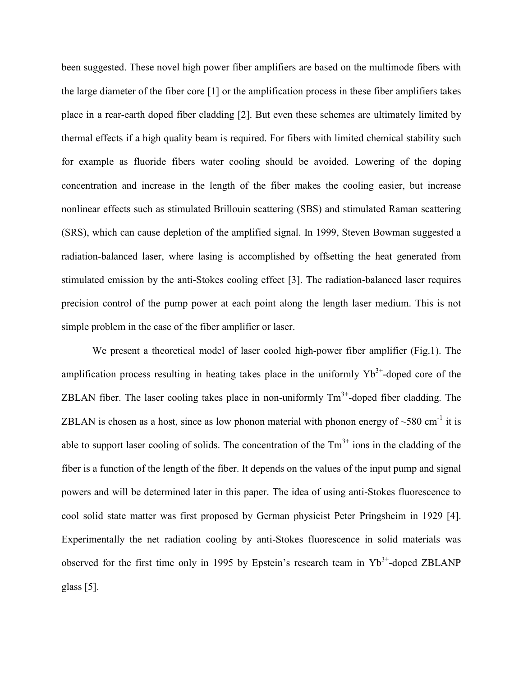been suggested. These novel high power fiber amplifiers are based on the multimode fibers with the large diameter of the fiber core [1] or the amplification process in these fiber amplifiers takes place in a rear-earth doped fiber cladding [2]. But even these schemes are ultimately limited by thermal effects if a high quality beam is required. For fibers with limited chemical stability such for example as fluoride fibers water cooling should be avoided. Lowering of the [doping](http://www.rp-photonics.com/doping_concentration.html)  [concentration](http://www.rp-photonics.com/doping_concentration.html) and increase in the length of the fiber makes the cooling easier, but increase nonlinear effects such as stimulated Brillouin scattering (SBS) and stimulated Raman scattering (SRS), which can cause depletion of the amplified signal. In 1999, Steven Bowman suggested a radiation-balanced laser, where lasing is accomplished by offsetting the heat generated from stimulated emission by the anti-Stokes cooling effect [3]. The radiation-balanced laser requires precision control of the pump power at each point along the length laser medium. This is not simple problem in the case of the fiber amplifier or laser.

We present a theoretical model of laser cooled high-power fiber amplifier (Fig.1). The amplification process resulting in heating takes place in the uniformly  $Yb^{3+}$ -doped core of the ZBLAN fiber. The laser cooling takes place in non-uniformly  $Tm<sup>3+</sup>$ -doped fiber cladding. The ZBLAN is chosen as a host, since as low phonon material with phonon energy of  $\sim$ 580 cm<sup>-1</sup> it is able to support laser cooling of solids. The concentration of the  $Tm<sup>3+</sup>$  ions in the cladding of the fiber is a function of the length of the fiber. It depends on the values of the input pump and signal powers and will be determined later in this paper. The idea of using anti-Stokes fluorescence to cool solid state matter was first proposed by German physicist Peter Pringsheim in 1929 [4]. Experimentally the net radiation cooling by anti-Stokes fluorescence in solid materials was observed for the first time only in 1995 by Epstein's research team in  $Yb^{3+}$ -doped ZBLANP glass [5].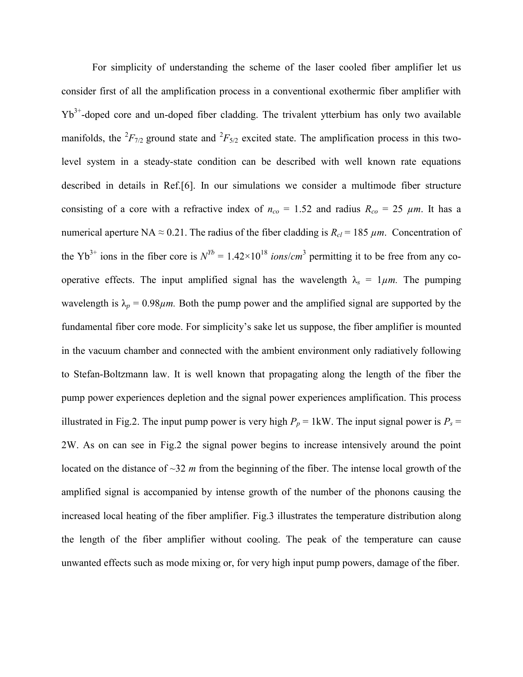For simplicity of understanding the scheme of the laser cooled fiber amplifier let us consider first of all the amplification process in a conventional exothermic fiber amplifier with  $Yb^{3+}$ -doped core and un-doped fiber cladding. The trivalent ytterbium has only two available manifolds, the  ${}^{2}F_{7/2}$  ground state and  ${}^{2}F_{5/2}$  excited state. The amplification process in this twolevel system in a steady-state condition can be described with well known rate equations described in details in Ref.[6]. In our simulations we consider a multimode fiber structure consisting of a core with a refractive index of  $n_{co} = 1.52$  and radius  $R_{co} = 25 \mu m$ . It has a numerical aperture NA  $\approx$  0.21. The radius of the fiber cladding is  $R_{cl}$  = 185  $\mu$ m. Concentration of the Yb<sup>3+</sup> ions in the fiber core is  $N^{Yb} = 1.42 \times 10^{18}$  *ions/cm*<sup>3</sup> permitting it to be free from any cooperative effects. The input amplified signal has the wavelength  $\lambda_s = 1 \mu m$ . The pumping wavelength is  $\lambda_p = 0.98 \mu m$ . Both the pump power and the amplified signal are supported by the fundamental fiber core mode. For simplicity's sake let us suppose, the fiber amplifier is mounted in the vacuum chamber and connected with the ambient environment only radiatively following to Stefan-Boltzmann law. It is well known that propagating along the length of the fiber the pump power experiences depletion and the signal power experiences amplification. This process illustrated in Fig.2. The input pump power is very high  $P_p = 1 \text{kW}$ . The input signal power is  $P_s =$ 2W. As on can see in Fig.2 the signal power begins to increase intensively around the point located on the distance of ~32 *m* from the beginning of the fiber. The intense local growth of the amplified signal is accompanied by intense growth of the number of the phonons causing the increased local heating of the fiber amplifier. Fig.3 illustrates the temperature distribution along the length of the fiber amplifier without cooling. The peak of the temperature can cause unwanted effects such as mode mixing or, for very high input pump powers, damage of the fiber.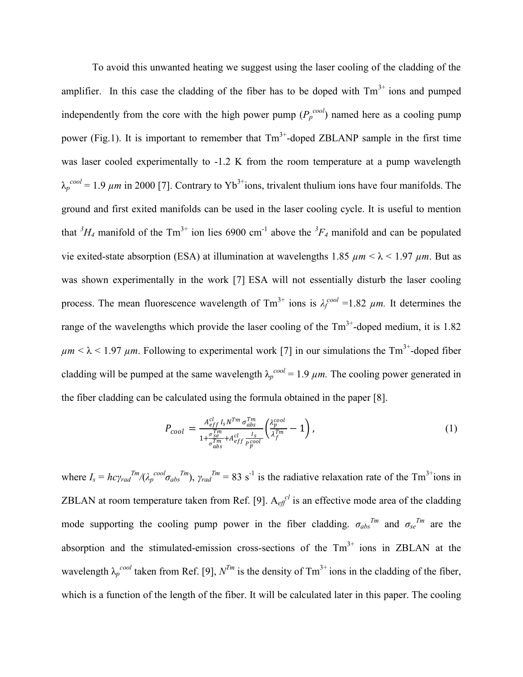To avoid this unwanted heating we suggest using the laser cooling of the cladding of the amplifier. In this case the cladding of the fiber has to be doped with  $Tm<sup>3+</sup>$  ions and pumped independently from the core with the high power pump  $(P_p^{\text{cool}})$  named here as a cooling pump power (Fig.1). It is important to remember that  $Tm^{3+}$ -doped ZBLANP sample in the first time was laser cooled experimentally to -1.2 K from the room temperature at a pump wavelength  $\lambda_p^{cool} = 1.9 \ \mu m$  in 2000 [7]. Contrary to Yb<sup>3+</sup>ions, trivalent thulium ions have four manifolds. The ground and first exited manifolds can be used in the laser cooling cycle. It is useful to mention that  ${}^{3}H_{4}$  manifold of the Tm<sup>3+</sup> ion lies 6900 cm<sup>-1</sup> above the  ${}^{3}F_{4}$  manifold and can be populated vie exited-state absorption (ESA) at illumination at wavelengths 1.85  $\mu$ m <  $\lambda$  < 1.97  $\mu$ m. But as was shown experimentally in the work [7] ESA will not essentially disturb the laser cooling process. The mean fluorescence wavelength of  $Tm^{3+}$  ions is  $\lambda_f^{cool} = 1.82 \mu m$ . It determines the range of the wavelengths which provide the laser cooling of the  $\text{Tm}^{3+}$ -doped medium, it is 1.82  $\mu$ *m* <  $\lambda$  < 1.97  $\mu$ *m*. Following to experimental work [7] in our simulations the Tm<sup>3+</sup>-doped fiber cladding will be pumped at the same wavelength  $\lambda_p^{cool} = 1.9 \ \mu m$ . The cooling power generated in the fiber cladding can be calculated using the formula obtained in the paper [8].

$$
P_{cool} = \frac{A_{eff}^{cl} I_s N^{Tm} \sigma_{abs}^{Tm}}{1 + \frac{\sigma_{SE}^{Tm}}{\sigma_{abs}^{Tm}} + A_{eff}^{cl} \frac{I_s}{\rho_{po}^{cool}} \left(\frac{\lambda_p^{cool}}{\lambda_f^{Tm}} - 1\right),\tag{1}
$$

where  $I_s = hc\gamma_{rad}^{Tm}/(\lambda_p^{cool}\sigma_{abs}^{Tm})$ ,  $\gamma_{rad}^{Tm} = 83 \text{ s}^{-1}$  is the radiative relaxation rate of the Tm<sup>3+</sup>ions in ZBLAN at room temperature taken from Ref. [9].  $A_{\text{eff}}^{cl}$  is an effective mode area of the cladding mode supporting the cooling pump power in the fiber cladding.  $\sigma_{abs}^{Tm}$  and  $\sigma_{se}^{Tm}$  are the absorption and the stimulated-emission cross-sections of the  $Tm<sup>3+</sup>$  ions in ZBLAN at the wavelength  $\lambda_p^{cool}$  taken from Ref. [9],  $N^{Tm}$  is the density of Tm<sup>3+</sup> ions in the cladding of the fiber, which is a function of the length of the fiber. It will be calculated later in this paper. The cooling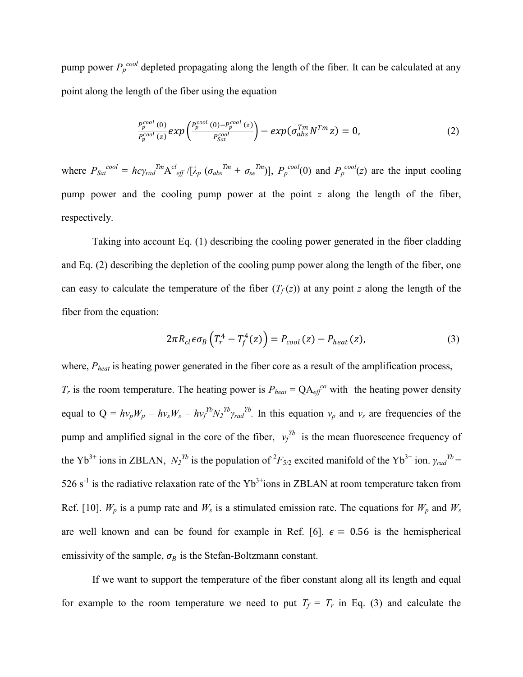pump power  $P_p^{\text{cool}}$  depleted propagating along the length of the fiber. It can be calculated at any point along the length of the fiber using the equation

$$
\frac{P_p^{cool}\left(0\right)}{P_p^{cool}\left(z\right)}\exp\left(\frac{P_p^{cool}\left(0\right)-P_p^{cool}\left(z\right)}{P_{Sat}^{cool}}\right)-\exp(\sigma_{abs}^{Tm}N^{Tm}z)=0,\tag{2}
$$

where  $P_{Sat}^{cool} = hc\gamma_{rad}^{Tm}A^{cl}_{eff}/[\lambda_p (\sigma_{abs}^{Tm} + \sigma_{se}^{Tm})], P_p^{cool}(0)$  and  $P_p^{cool}(z)$  are the input cooling pump power and the cooling pump power at the point *z* along the length of the fiber, respectively.

Taking into account Eq. (1) describing the cooling power generated in the fiber cladding and Eq. (2) describing the depletion of the cooling pump power along the length of the fiber, one can easy to calculate the temperature of the fiber  $(T_f(z))$  at any point *z* along the length of the fiber from the equation:

$$
2\pi R_{cl}\epsilon\sigma_B\left(T_r^4 - T_f^4(z)\right) = P_{cool}(z) - P_{heat}(z),\tag{3}
$$

where,  $P_{heat}$  is heating power generated in the fiber core as a result of the amplification process,

 $T_r$  is the room temperature. The heating power is  $P_{heat} = QA_{eff}^{co}$  with the heating power density equal to  $Q = hv_pW_p - hv_sW_s - hv_f^{y}V_2^{y}v_{rad}^{y}$ . In this equation  $v_p$  and  $v_s$  are frequencies of the pump and amplified signal in the core of the fiber,  $v_f^{y}$  is the mean fluorescence frequency of the Yb<sup>3+</sup> ions in ZBLAN,  $N_2^{Yb}$  is the population of  ${}^2F_{5/2}$  excited manifold of the Yb<sup>3+</sup> ion.  $\gamma_{rad}^{Yb}$  = 526 s<sup>-1</sup> is the radiative relaxation rate of the Yb<sup>3+</sup>ions in ZBLAN at room temperature taken from Ref. [10].  $W_p$  is a pump rate and  $W_s$  is a stimulated emission rate. The equations for  $W_p$  and  $W_s$ are well known and can be found for example in Ref. [6].  $\epsilon = 0.56$  is the hemispherical emissivity of the sample,  $\sigma_B$  is the Stefan-Boltzmann constant.

If we want to support the temperature of the fiber constant along all its length and equal for example to the room temperature we need to put  $T_f = T_r$  in Eq. (3) and calculate the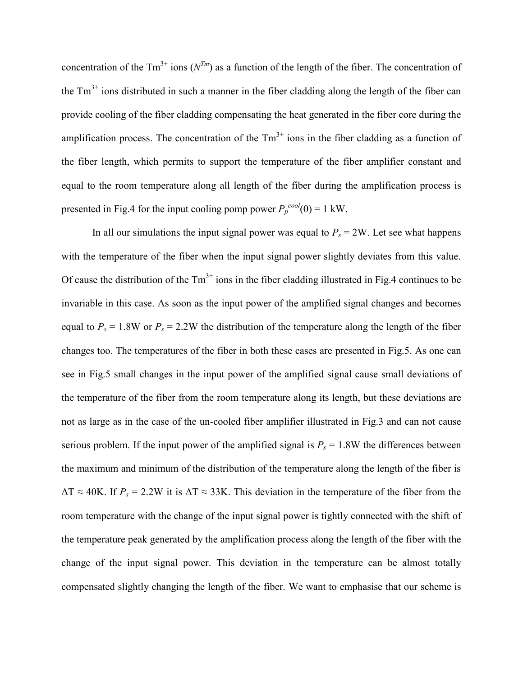concentration of the  $Tm^{3+}$  ions  $(N^{Tm})$  as a function of the length of the fiber. The concentration of the  $Tm<sup>3+</sup>$  ions distributed in such a manner in the fiber cladding along the length of the fiber can provide cooling of the fiber cladding compensating the heat generated in the fiber core during the amplification process. The concentration of the  $Tm<sup>3+</sup>$  ions in the fiber cladding as a function of the fiber length, which permits to support the temperature of the fiber amplifier constant and equal to the room temperature along all length of the fiber during the amplification process is presented in Fig.4 for the input cooling pomp power  $P_p^{cool}(0) = 1$  kW.

In all our simulations the input signal power was equal to  $P_s = 2W$ . Let see what happens with the temperature of the fiber when the input signal power slightly deviates from this value. Of cause the distribution of the  $Tm<sup>3+</sup>$  ions in the fiber cladding illustrated in Fig.4 continues to be invariable in this case. As soon as the input power of the amplified signal changes and becomes equal to  $P_s = 1.8W$  or  $P_s = 2.2W$  the distribution of the temperature along the length of the fiber changes too. The temperatures of the fiber in both these cases are presented in Fig.5. As one can see in Fig.5 small changes in the input power of the amplified signal cause small deviations of the temperature of the fiber from the room temperature along its length, but these deviations are not as large as in the case of the un-cooled fiber amplifier illustrated in Fig.3 and can not cause serious problem. If the input power of the amplified signal is  $P_s = 1.8W$  the differences between the maximum and minimum of the distribution of the temperature along the length of the fiber is  $\Delta T \approx 40$ K. If  $P_s = 2.2$ W it is  $\Delta T \approx 33$ K. This deviation in the temperature of the fiber from the room temperature with the change of the input signal power is tightly connected with the shift of the temperature peak generated by the amplification process along the length of the fiber with the change of the input signal power. This deviation in the temperature can be almost totally compensated slightly changing the length of the fiber. We want to emphasise that our scheme is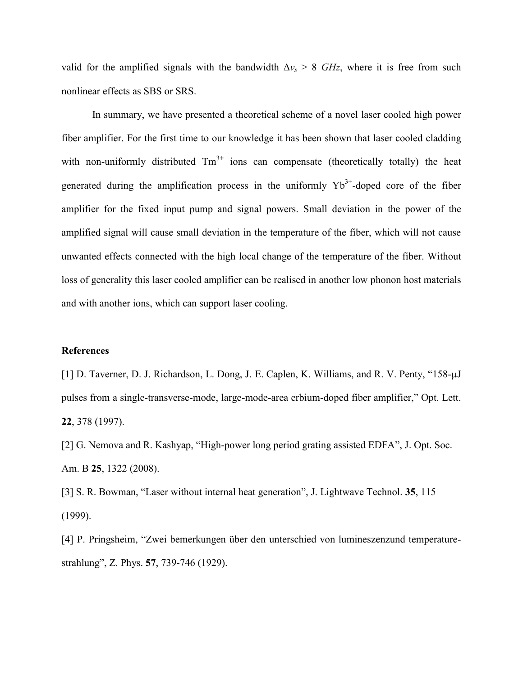valid for the amplified signals with the bandwidth  $\Delta v_s > 8$  *GHz*, where it is free from such nonlinear effects as SBS or SRS.

In summary, we have presented a theoretical scheme of a novel laser cooled high power fiber amplifier. For the first time to our knowledge it has been shown that laser cooled cladding with non-uniformly distributed  $Tm^{3+}$  ions can compensate (theoretically totally) the heat generated during the amplification process in the uniformly  $Yb^{3+}$ -doped core of the fiber amplifier for the fixed input pump and signal powers. Small deviation in the power of the amplified signal will cause small deviation in the temperature of the fiber, which will not cause unwanted effects connected with the high local change of the temperature of the fiber. Without loss of generality this laser cooled amplifier can be realised in another low phonon host materials and with another ions, which can support laser cooling.

## **References**

[1] D. Taverner, D. J. Richardson, L. Dong, J. E. Caplen, K. Williams, and R. V. Penty, "158-µJ pulses from a single-transverse-mode, large-mode-area erbium-doped fiber amplifier," Opt. Lett. **22**, 378 (1997).

[2] G. Nemova and R. Kashyap, "High-power long period grating assisted EDFA", J. Opt. Soc. Am. B **25**, 1322 (2008).

[3] S. R. Bowman, "Laser without internal heat generation", J. Lightwave Technol. **35**, 115 (1999).

[4] P. Pringsheim, "Zwei bemerkungen über den unterschied von lumineszenzund temperaturestrahlung", Z. Phys. **57**, 739-746 (1929).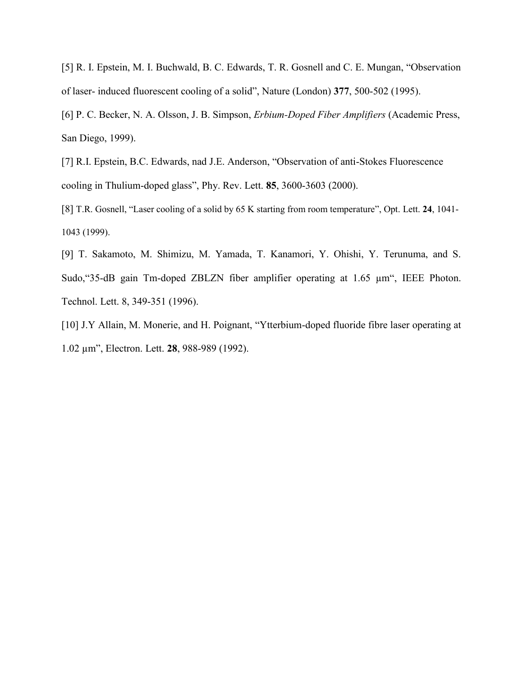[5] R. I. Epstein, M. I. Buchwald, B. C. Edwards, T. R. Gosnell and C. E. Mungan, "Observation of laser- induced fluorescent cooling of a solid", Nature (London) **377**, 500-502 (1995).

[6] P. C. Becker, N. A. Olsson, J. B. Simpson, *Erbium-Doped Fiber Amplifiers* (Academic Press, San Diego, 1999).

[7] R.I. Epstein, B.C. Edwards, nad J.E. Anderson, "Observation of anti-Stokes Fluorescence cooling in Thulium-doped glass", Phy. Rev. Lett. **85**, 3600-3603 (2000).

[8] T.R. Gosnell, "Laser cooling of a solid by 65 K starting from room temperature", Opt. Lett. **24**, 1041- 1043 (1999).

[9] T. Sakamoto, M. Shimizu, M. Yamada, T. Kanamori, Y. Ohishi, Y. Terunuma, and S. Sudo, "35-dB gain Tm-doped ZBLZN fiber amplifier operating at 1.65  $\mu$ m", IEEE Photon. Technol. Lett. 8, 349-351 (1996).

[10] J.Y Allain, M. Monerie, and H. Poignant, "Ytterbium-doped fluoride fibre laser operating at 1.02 µm", Electron. Lett. **28**, 988-989 (1992).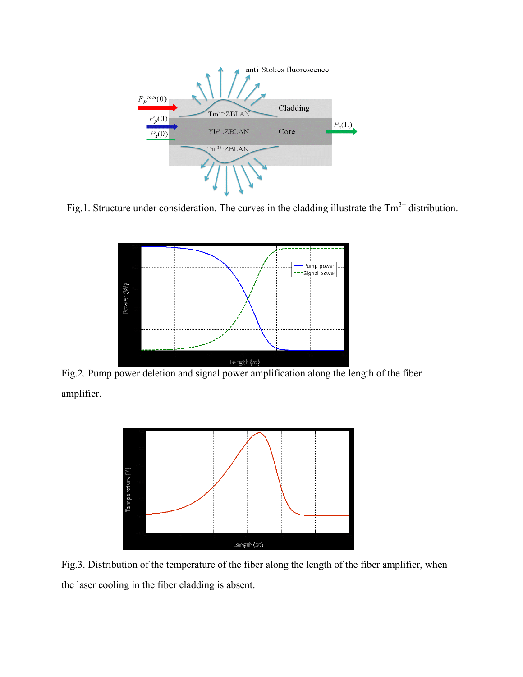

Fig.1. Structure under consideration. The curves in the cladding illustrate the  $Tm<sup>3+</sup>$  distribution.



Fig.2. Pump power deletion and signal power amplification along the length of the fiber amplifier.



Fig.3. Distribution of the temperature of the fiber along the length of the fiber amplifier, when the laser cooling in the fiber cladding is absent.